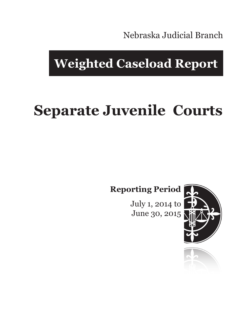Nebraska Judicial Branch

## **Weighted Caseload Report**

# **Separate Juvenile Courts**

**Reporting Period**

July 1, 2014 to June 30, 2015



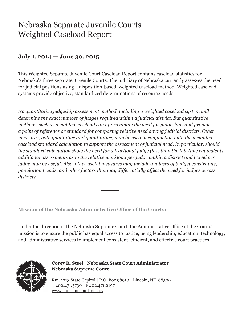### Nebraska Separate Juvenile Courts Weighted Caseload Report

#### **July 1, 2014 — June 30, 2015**

This Weighted Separate Juvenile Court Caseload Report contains caseload statistics for Nebraska's three separate Juvenile Courts. The judiciary of Nebraska currently assesses the need for judicial positions using a disposition-based, weighted caseload method. Weighted caseload systems provide objective, standardized determinations of resource needs.

*No quantitative judgeship assessment method, including a weighted caseload system will determine the exact number of judges required within a judicial district. But quantitative methods, such as weighted caseload can approximate the need for judgeships and provide a point of reference or standard for comparing relative need among judicial districts. Other measures, both qualitative and quantitative, may be used in conjunction with the weighted caseload standard calculation to support the assessment of judicial need. In particular, should the standard calculation show the need for a fractional judge (less than the full-time equivalent), additional assessments as to the relative workload per judge within a district and travel per judge may be useful. Also, other useful measures may include analyses of budget constraints, population trends, and other factors that may differentially affect the need for judges across districts.*

**Mission of the Nebraska Administrative Office of the Courts:**

Under the direction of the Nebraska Supreme Court, the Administrative Office of the Courts' mission is to ensure the public has equal access to justice, using leadership, education, technology, and administrative services to implement consistent, efficient, and effective court practices.



**Corey R. Steel | Nebraska State Court Administrator Nebraska Supreme Court**

Rm. 1213 State Capitol | P.O. Box 98910 | Lincoln, NE 68509 T 402.471.3730 | F 402.471.2197 www.supremecourt.ne.gov